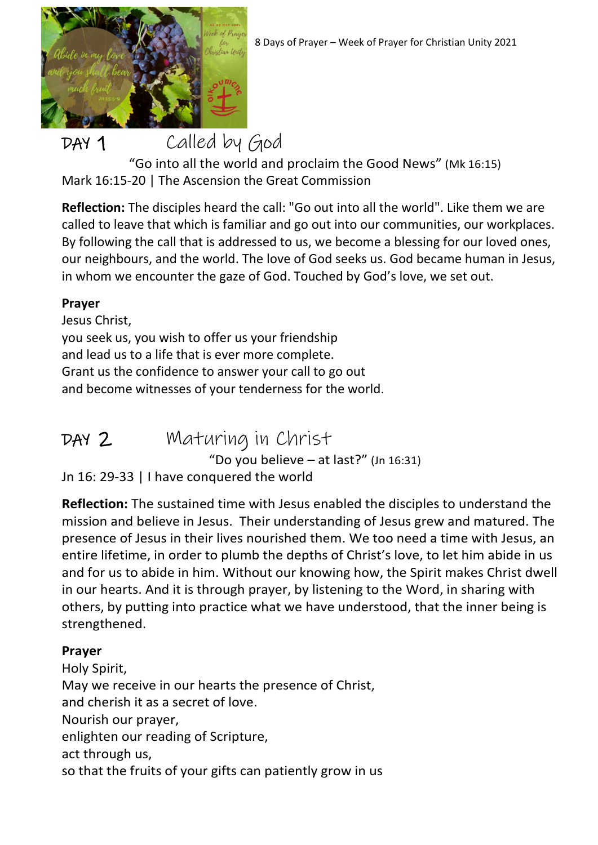

DAY 1 Called by God "Go into all the world and proclaim the Good News" (Mk 16:15) Mark 16:15-20 | The Ascension the Great Commission

**Reflection:** The disciples heard the call: "Go out into all the world". Like them we are called to leave that which is familiar and go out into our communities, our workplaces. By following the call that is addressed to us, we become a blessing for our loved ones, our neighbours, and the world. The love of God seeks us. God became human in Jesus, in whom we encounter the gaze of God. Touched by God's love, we set out.

#### **Prayer**

Jesus Christ, you seek us, you wish to offer us your friendship and lead us to a life that is ever more complete. Grant us the confidence to answer your call to go out and become witnesses of your tenderness for the world.

DAY 2 Maturing in Christ "Do you believe – at last?" (Jn 16:31) Jn 16: 29-33 | I have conquered the world

**Reflection:** The sustained time with Jesus enabled the disciples to understand the mission and believe in Jesus. Their understanding of Jesus grew and matured. The presence of Jesus in their lives nourished them. We too need a time with Jesus, an entire lifetime, in order to plumb the depths of Christ's love, to let him abide in us and for us to abide in him. Without our knowing how, the Spirit makes Christ dwell in our hearts. And it is through prayer, by listening to the Word, in sharing with others, by putting into practice what we have understood, that the inner being is strengthened.

#### **Prayer**

Holy Spirit, May we receive in our hearts the presence of Christ, and cherish it as a secret of love. Nourish our prayer, enlighten our reading of Scripture, act through us, so that the fruits of your gifts can patiently grow in us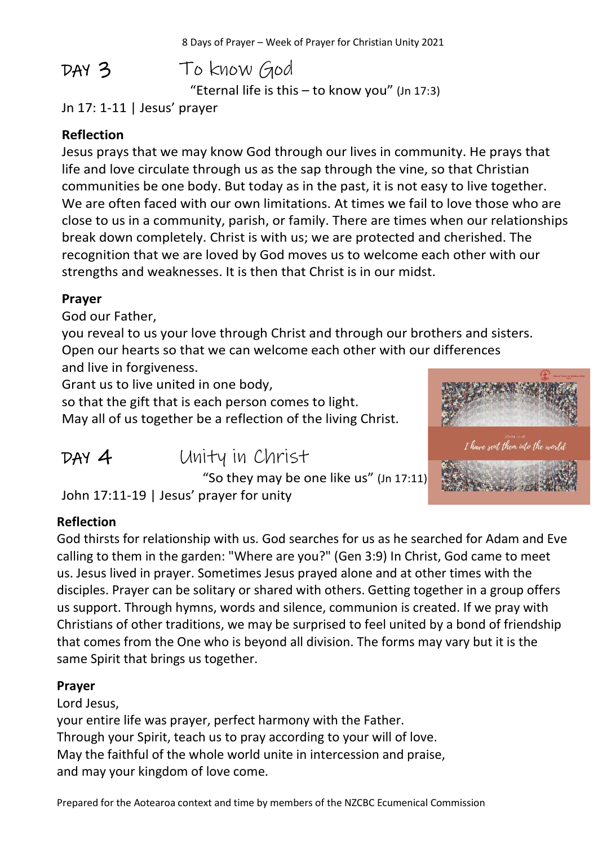DAY 3To know God "Eternal life is this  $-$  to know you" (Jn 17:3)

Jn 17: 1-11 | Jesus' prayer

#### **Reflection**

Jesus prays that we may know God through our lives in community. He prays that life and love circulate through us as the sap through the vine, so that Christian communities be one body. But today as in the past, it is not easy to live together. We are often faced with our own limitations. At times we fail to love those who are close to us in a community, parish, or family. There are times when our relationships break down completely. Christ is with us; we are protected and cherished. The recognition that we are loved by God moves us to welcome each other with our strengths and weaknesses. It is then that Christ is in our midst.

#### **Prayer**

God our Father,

you reveal to us your love through Christ and through our brothers and sisters. Open our hearts so that we can welcome each other with our differences and live in forgiveness.

Grant us to live united in one body,

so that the gift that is each person comes to light. May all of us together be a reflection of the living Christ. I have sent them into the wor

DAY 4Unity in Christ

"So they may be one like us" (Jn 17:11)

John 17:11-19 | Jesus' prayer for unity

### **Reflection**

God thirsts for relationship with us. God searches for us as he searched for Adam and Eve calling to them in the garden: "Where are you?" (Gen 3:9) In Christ, God came to meet us. Jesus lived in prayer. Sometimes Jesus prayed alone and at other times with the disciples. Prayer can be solitary or shared with others. Getting together in a group offers us support. Through hymns, words and silence, communion is created. If we pray with Christians of other traditions, we may be surprised to feel united by a bond of friendship that comes from the One who is beyond all division. The forms may vary but it is the same Spirit that brings us together.

#### **Prayer**

Lord Jesus,

your entire life was prayer, perfect harmony with the Father. Through your Spirit, teach us to pray according to your will of love. May the faithful of the whole world unite in intercession and praise, and may your kingdom of love come.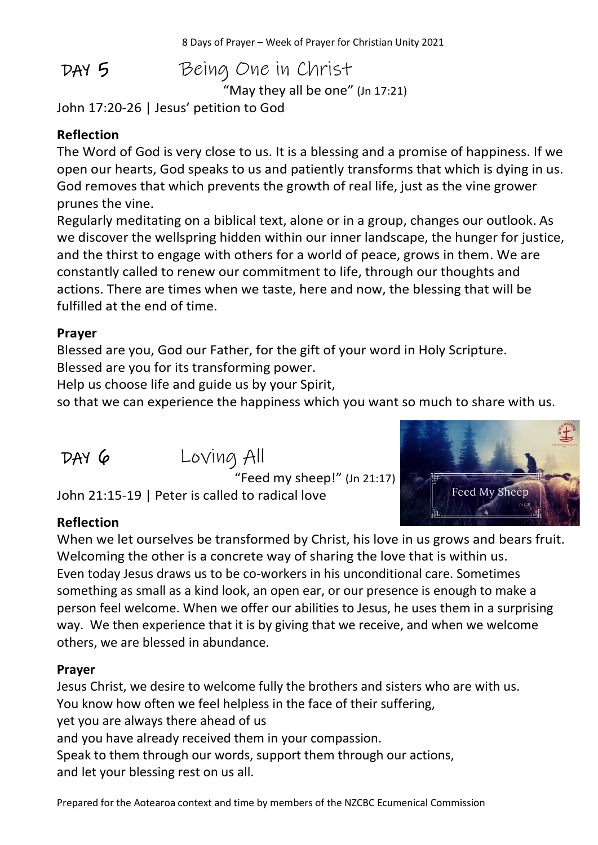DAY 5Being One in Christ

"May they all be one" (Jn 17:21)

John 17:20-26 | Jesus' petition to God

## **Reflection**

The Word of God is very close to us. It is a blessing and a promise of happiness. If we open our hearts, God speaks to us and patiently transforms that which is dying in us. God removes that which prevents the growth of real life, just as the vine grower prunes the vine.

Regularly meditating on a biblical text, alone or in a group, changes our outlook. As we discover the wellspring hidden within our inner landscape, the hunger for justice, and the thirst to engage with others for a world of peace, grows in them. We are constantly called to renew our commitment to life, through our thoughts and actions. There are times when we taste, here and now, the blessing that will be fulfilled at the end of time.

#### **Prayer**

Blessed are you, God our Father, for the gift of your word in Holy Scripture. Blessed are you for its transforming power.

Help us choose life and guide us by your Spirit,

so that we can experience the happiness which you want so much to share with us.

DAY 6Loving All



John 21:15-19 | Peter is called to radical love

### **Reflection**

When we let ourselves be transformed by Christ, his love in us grows and bears fruit. Welcoming the other is a concrete way of sharing the love that is within us. Even today Jesus draws us to be co-workers in his unconditional care. Sometimes something as small as a kind look, an open ear, or our presence is enough to make a person feel welcome. When we offer our abilities to Jesus, he uses them in a surprising way. We then experience that it is by giving that we receive, and when we welcome others, we are blessed in abundance.

#### **Prayer**

Jesus Christ, we desire to welcome fully the brothers and sisters who are with us. You know how often we feel helpless in the face of their suffering, yet you are always there ahead of us and you have already received them in your compassion. Speak to them through our words, support them through our actions, and let your blessing rest on us all.